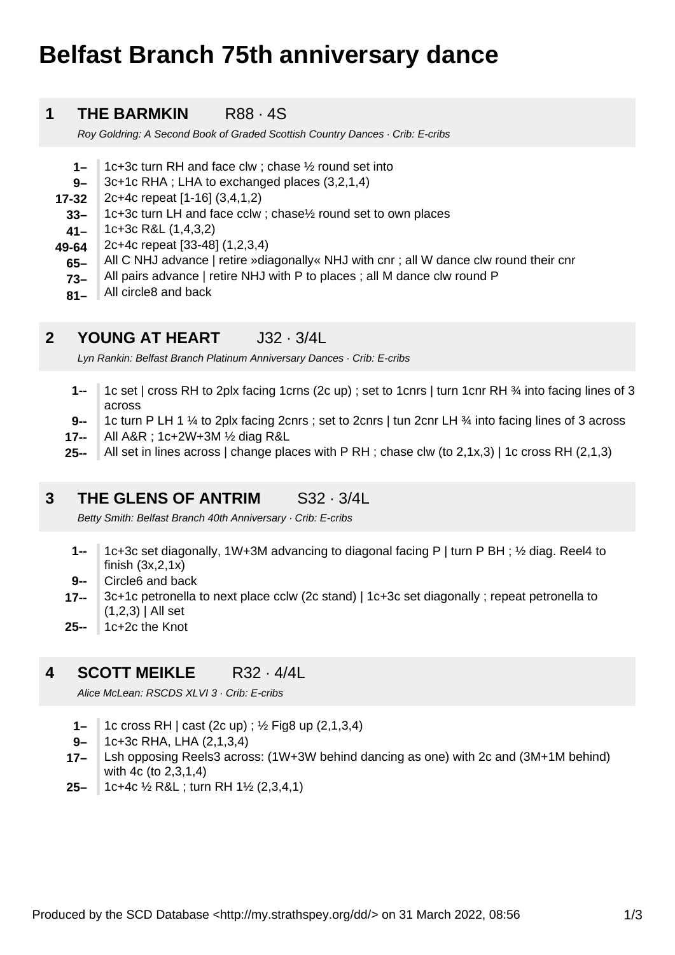# **Belfast Branch 75th anniversary dance**

#### **1 THE BARMKIN** R88 · 4S

Roy Goldring: A Second Book of Graded Scottish Country Dances · Crib: E-cribs

- **1–** 1c+3c turn RH and face clw ; chase ½ round set into
- **9–** 3c+1c RHA ; LHA to exchanged places (3,2,1,4)
- **17-32** 2c+4c repeat [1-16] (3,4,1,2)
	- **33–** 1c+3c turn LH and face cclw ; chase½ round set to own places
- **41–** 1c+3c R&L (1,4,3,2)
- **49-64** 2c+4c repeat [33-48] (1,2,3,4)
	- **65–** All C NHJ advance | retire »diagonally« NHJ with cnr ; all W dance clw round their cnr
	- **73–** All pairs advance | retire NHJ with P to places ; all M dance clw round P
	- **81–** All circle8 and back

# **2** YOUNG AT HEART J32 · 3/4L

Lyn Rankin: Belfast Branch Platinum Anniversary Dances · Crib: E-cribs

- **1--** 1c set | cross RH to 2plx facing 1crns (2c up) ; set to 1cnrs | turn 1cnr RH ¾ into facing lines of 3 across
- **9--** 1c turn P LH 1 ¼ to 2plx facing 2cnrs ; set to 2cnrs | tun 2cnr LH ¾ into facing lines of 3 across
- **17--** All A&R ; 1c+2W+3M ½ diag R&L
- **25--** All set in lines across | change places with P RH ; chase clw (to 2,1x,3) | 1c cross RH (2,1,3)

## **3 THE GLENS OF ANTRIM** S32 · 3/4L

Betty Smith: Belfast Branch 40th Anniversary · Crib: E-cribs

- **1--** 1c+3c set diagonally, 1W+3M advancing to diagonal facing P | turn P BH ; ½ diag. Reel4 to finish  $(3x, 2, 1x)$
- **9--** Circle6 and back
- **17--** 3c+1c petronella to next place cclw (2c stand) | 1c+3c set diagonally ; repeat petronella to  $(1,2,3)$  | All set
- **25--** 1c+2c the Knot

## **4 SCOTT MEIKLE** R32 · 4/4L

Alice McLean: RSCDS XLVI 3 · Crib: E-cribs

- **1–** 1c cross RH | cast (2c up) ; ½ Fig8 up (2,1,3,4)
- **9–** 1c+3c RHA, LHA (2,1,3,4)
- **17–** Lsh opposing Reels3 across: (1W+3W behind dancing as one) with 2c and (3M+1M behind) with 4c (to 2,3,1,4)
- **25–** 1c+4c ½ R&L ; turn RH 1½ (2,3,4,1)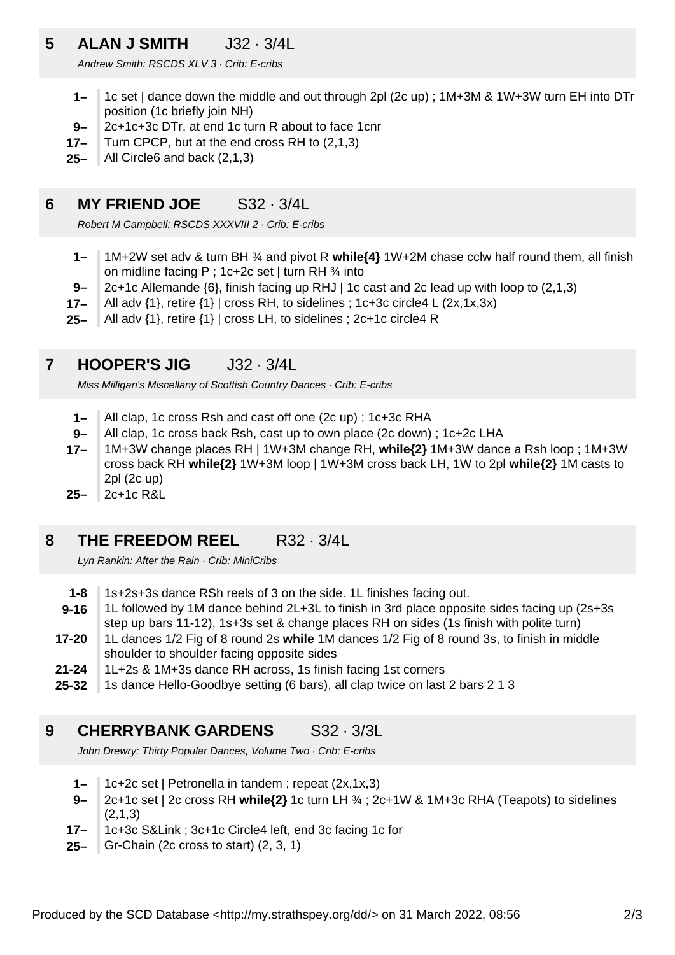# **5 ALAN J SMITH** J32 · 3/4L

Andrew Smith: RSCDS XLV 3 · Crib: E-cribs

- **1–** 1c set | dance down the middle and out through 2pl (2c up) ; 1M+3M & 1W+3W turn EH into DTr position (1c briefly join NH)
- **9–** 2c+1c+3c DTr, at end 1c turn R about to face 1cnr
- **17–** Turn CPCP, but at the end cross RH to (2,1,3)
- **25–** All Circle6 and back (2,1,3)

### **6 MY FRIEND JOE** S32 · 3/4L

Robert M Campbell: RSCDS XXXVIII 2 · Crib: E-cribs

- **1–** 1M+2W set adv & turn BH ¾ and pivot R **while{4}** 1W+2M chase cclw half round them, all finish on midline facing P;  $1c+2c$  set | turn RH  $\frac{3}{4}$  into
- **9–** 2c+1c Allemande {6}, finish facing up RHJ | 1c cast and 2c lead up with loop to (2,1,3)
- **17–** All adv {1}, retire {1} | cross RH, to sidelines ; 1c+3c circle4 L (2x,1x,3x)
- **25–** All adv {1}, retire {1} | cross LH, to sidelines ; 2c+1c circle4 R

#### **7 HOOPER'S JIG** J32 · 3/4L

Miss Milligan's Miscellany of Scottish Country Dances · Crib: E-cribs

- **1–** All clap, 1c cross Rsh and cast off one (2c up) ; 1c+3c RHA
- **9–** All clap, 1c cross back Rsh, cast up to own place (2c down) ; 1c+2c LHA
- **17–** 1M+3W change places RH | 1W+3M change RH, **while{2}** 1M+3W dance a Rsh loop ; 1M+3W cross back RH **while{2}** 1W+3M loop | 1W+3M cross back LH, 1W to 2pl **while{2}** 1M casts to 2pl (2c up)
- **25–** 2c+1c R&L

#### **8 THE FREEDOM REEL** R32 · 3/4L

Lyn Rankin: After the Rain · Crib: MiniCribs

- **1-8** 1s+2s+3s dance RSh reels of 3 on the side. 1L finishes facing out.
- **9-16** 1L followed by 1M dance behind 2L+3L to finish in 3rd place opposite sides facing up (2s+3s step up bars 11-12), 1s+3s set & change places RH on sides (1s finish with polite turn)
- **17-20** 1L dances 1/2 Fig of 8 round 2s **while** 1M dances 1/2 Fig of 8 round 3s, to finish in middle shoulder to shoulder facing opposite sides
- **21-24** 1L+2s & 1M+3s dance RH across, 1s finish facing 1st corners
- **25-32** 1s dance Hello-Goodbye setting (6 bars), all clap twice on last 2 bars 2 1 3

# **9 CHERRYBANK GARDENS** S32 · 3/3L

John Drewry: Thirty Popular Dances, Volume Two · Crib: E-cribs

- **1–** 1c+2c set | Petronella in tandem ; repeat (2x,1x,3)
- **9–** 2c+1c set | 2c cross RH **while{2}** 1c turn LH ¾ ; 2c+1W & 1M+3c RHA (Teapots) to sidelines  $(2.1.3)$
- **17–** 1c+3c S&Link ; 3c+1c Circle4 left, end 3c facing 1c for
- **25–** Gr-Chain (2c cross to start) (2, 3, 1)